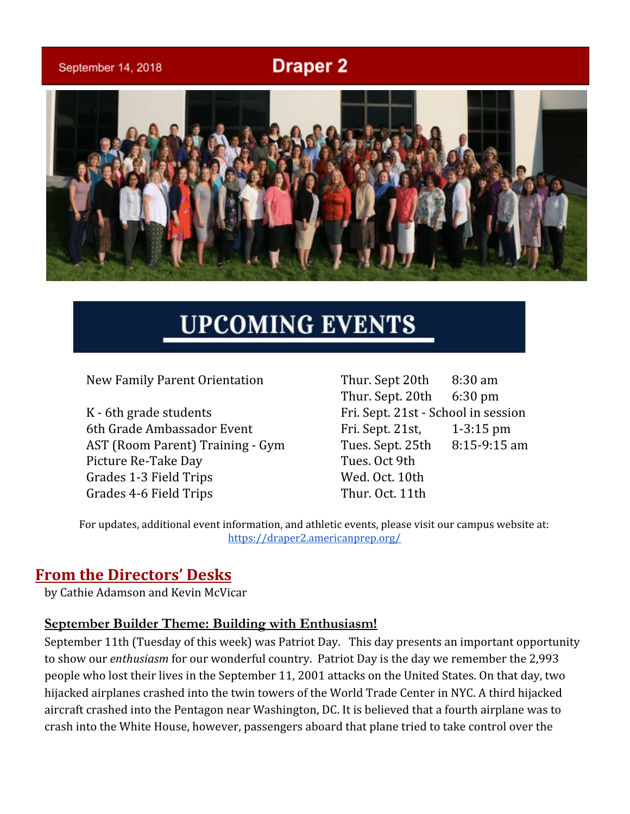# **Draper 2**

September 14, 2018



# **UPCOMING EVENTS**

New Family Parent Orientation Thur. Sept 20th 8:30 am

K - 6th grade students Fri. Sept. 21st - School in session 6th Grade Ambassador Event Fri. Sept. 21st, 1-3:15 pm AST (Room Parent) Training - Gym Tues. Sept. 25th 8:15-9:15 am Picture Re-Take Day Tues. Oct 9th Grades 1-3 Field Trips Wed. Oct. 10th Grades 4-6 Field Trips Thur. Oct. 11th

Thur. Sept. 20th 6:30 pm

For updates, additional event information, and athletic events, please visit our campus website at: <https://draper2.americanprep.org/>

# **From the Directors' Desks**

by Cathie Adamson and Kevin McVicar

#### **September Builder Theme: Building with Enthusiasm!**

September 11th (Tuesday of this week) was Patriot Day. This day presents an important opportunity to show our *enthusiasm* for our wonderful country. Patriot Day is the day we remember the 2,993 people who lost their lives in the September 11, 2001 attacks on the United States. On that day, two hijacked airplanes crashed into the twin towers of the World Trade Center in NYC. A third hijacked aircraft crashed into the Pentagon near Washington, DC. It is believed that a fourth airplane was to crash into the White House, however, passengers aboard that plane tried to take control over the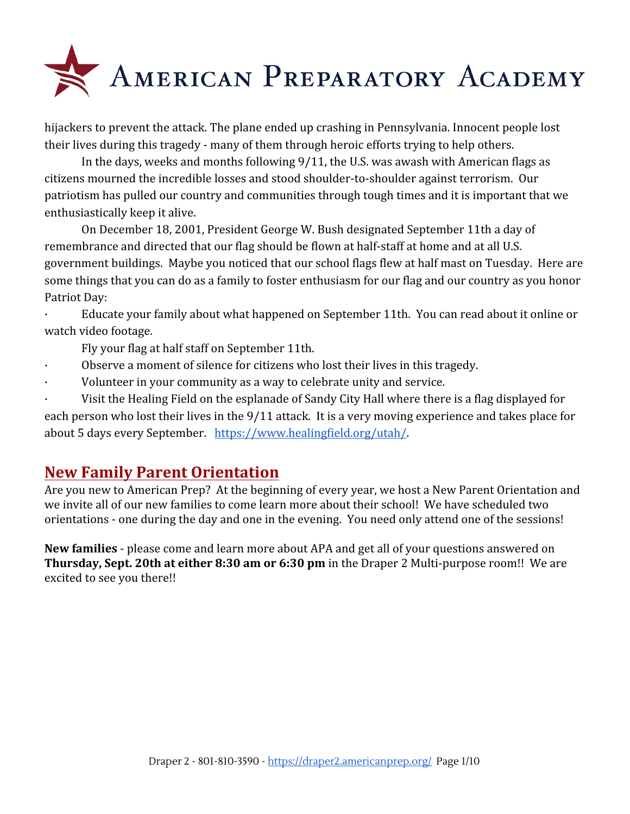

hijackers to prevent the attack. The plane ended up crashing in Pennsylvania. Innocent people lost their lives during this tragedy - many of them through heroic efforts trying to help others.

In the days, weeks and months following 9/11, the U.S. was awash with American flags as citizens mourned the incredible losses and stood shoulder-to-shoulder against terrorism. Our patriotism has pulled our country and communities through tough times and it is important that we enthusiastically keep it alive.

On December 18, 2001, President George W. Bush designated September 11th a day of remembrance and directed that our flag should be flown at half-staff at home and at all U.S. government buildings. Maybe you noticed that our school flags flew at half mast on Tuesday. Here are some things that you can do as a family to foster enthusiasm for our flag and our country as you honor Patriot Day:

· Educate your family about what happened on September 11th. You can read about it online or watch video footage.

Fly your flag at half staff on September 11th.

- · Observe a moment of silence for citizens who lost their lives in this tragedy.
- Volunteer in your community as a way to celebrate unity and service.

Visit the Healing Field on the esplanade of Sandy City Hall where there is a flag displayed for each person who lost their lives in the 9/11 attack. It is a very moving experience and takes place for about 5 days every September. <https://www.healingfield.org/utah/>.

### **New Family Parent Orientation**

Are you new to American Prep? At the beginning of every year, we host a New Parent Orientation and we invite all of our new families to come learn more about their school! We have scheduled two orientations - one during the day and one in the evening. You need only attend one of the sessions!

**New families** - please come and learn more about APA and get all of your questions answered on **Thursday, Sept. 20th at either 8:30 am or 6:30 pm** in the Draper 2 Multi-purpose room!! We are excited to see you there!!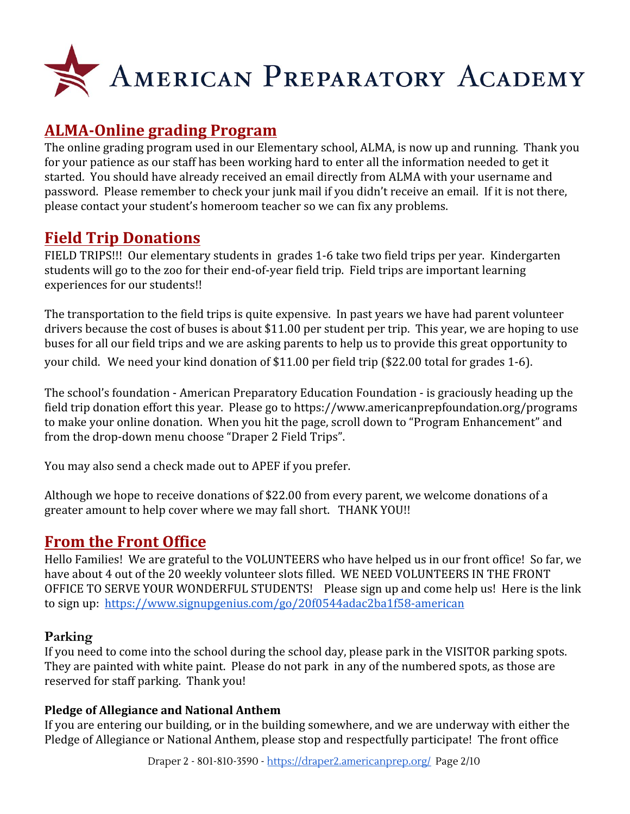

# **ALMA-Online grading Program**

The online grading program used in our Elementary school, ALMA, is now up and running. Thank you for your patience as our staff has been working hard to enter all the information needed to get it started. You should have already received an email directly from ALMA with your username and password. Please remember to check your junk mail if you didn't receive an email. If it is not there, please contact your student's homeroom teacher so we can fix any problems.

# **Field Trip Donations**

FIELD TRIPS!!! Our elementary students in grades 1-6 take two field trips per year. Kindergarten students will go to the zoo for their end-of-year field trip. Field trips are important learning experiences for our students!!

The transportation to the field trips is quite expensive. In past years we have had parent volunteer drivers because the cost of buses is about \$11.00 per student per trip. This year, we are hoping to use buses for all our field trips and we are asking parents to help us to provide this great opportunity to your child. We need your kind donation of \$11.00 per field trip (\$22.00 total for grades 1-6).

The school's foundation - American Preparatory Education Foundation - is graciously heading up the field trip donation effort this year. Please go to <https://www.americanprepfoundation.org/programs> to make your online donation. When you hit the page, scroll down to "Program Enhancement" and from the drop-down menu choose "Draper 2 Field Trips".

You may also send a check made out to APEF if you prefer.

Although we hope to receive donations of \$22.00 from every parent, we welcome donations of a greater amount to help cover where we may fall short. THANK YOU!!

# **From the Front Office**

Hello Families! We are grateful to the VOLUNTEERS who have helped us in our front office! So far, we have about 4 out of the 20 weekly volunteer slots filled. WE NEED VOLUNTEERS IN THE FRONT OFFICE TO SERVE YOUR WONDERFUL STUDENTS! Please sign up and come help us! Here is the link to sign up: <https://www.signupgenius.com/go/20f0544adac2ba1f58-american>

#### **Parking**

If you need to come into the school during the school day, please park in the VISITOR parking spots. They are painted with white paint. Please do not park in any of the numbered spots, as those are reserved for staff parking. Thank you!

#### **Pledge of Allegiance and National Anthem**

If you are entering our building, or in the building somewhere, and we are underway with either the Pledge of Allegiance or National Anthem, please stop and respectfully participate! The front office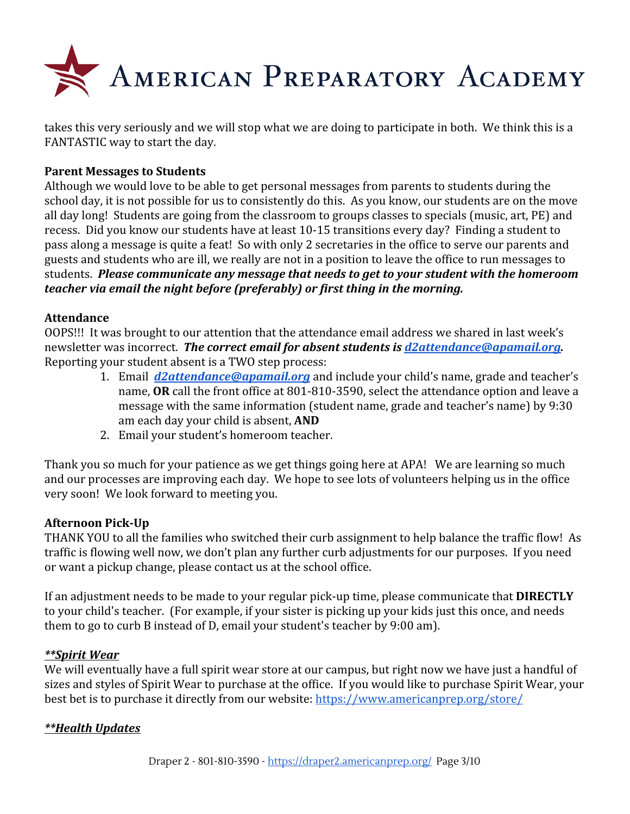

takes this very seriously and we will stop what we are doing to participate in both. We think this is a FANTASTIC way to start the day.

#### **Parent Messages to Students**

Although we would love to be able to get personal messages from parents to students during the school day, it is not possible for us to consistently do this. As you know, our students are on the move all day long! Students are going from the classroom to groups classes to specials (music, art, PE) and recess. Did you know our students have at least 10-15 transitions every day? Finding a student to pass along a message is quite a feat! So with only 2 secretaries in the office to serve our parents and guests and students who are ill, we really are not in a position to leave the office to run messages to students. *Please communicate any message that needs to get to your student with the homeroom teacher via email the night before (preferably) or first thing in the morning.*

#### **Attendance**

OOPS!!! It was brought to our attention that the attendance email address we shared in last week's newsletter was incorrect. *The correct email for absent students is [d2attendance@apamail.org](mailto:d2attendance@apamail.org).* Reporting your student absent is a TWO step process:

- 1. Email *[d2attendance@apamail.org](mailto:d2attendance@apamail.org)* and include your child's name, grade and teacher's name, **OR** call the front office at 801-810-3590, select the attendance option and leave a message with the same information (student name, grade and teacher's name) by 9:30 am each day your child is absent, **AND**
- 2. Email your student's homeroom teacher.

Thank you so much for your patience as we get things going here at APA! We are learning so much and our processes are improving each day. We hope to see lots of volunteers helping us in the office very soon! We look forward to meeting you.

#### **Afternoon Pick-Up**

THANK YOU to all the families who switched their curb assignment to help balance the traffic flow! As traffic is flowing well now, we don't plan any further curb adjustments for our purposes. If you need or want a pickup change, please contact us at the school office.

If an adjustment needs to be made to your regular pick-up time, please communicate that **DIRECTLY** to your child's teacher. (For example, if your sister is picking up your kids just this once, and needs them to go to curb B instead of D, email your student's teacher by 9:00 am).

#### *\*\*Spirit Wear*

We will eventually have a full spirit wear store at our campus, but right now we have just a handful of sizes and styles of Spirit Wear to purchase at the office. If you would like to purchase Spirit Wear, your best bet is to purchase it directly from our website: <https://www.americanprep.org/store/>

#### *\*\*Health Updates*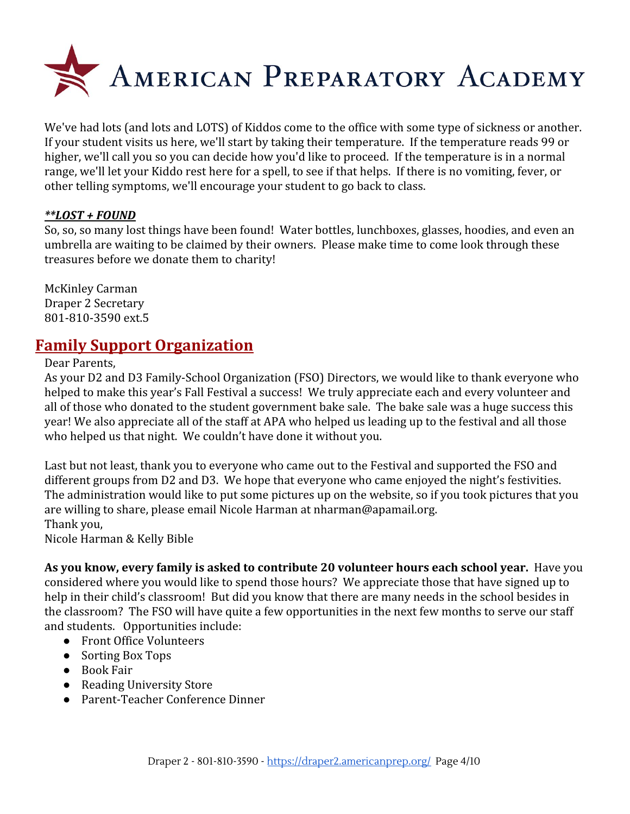

We've had lots (and lots and LOTS) of Kiddos come to the office with some type of sickness or another. If your student visits us here, we'll start by taking their temperature. If the temperature reads 99 or higher, we'll call you so you can decide how you'd like to proceed. If the temperature is in a normal range, we'll let your Kiddo rest here for a spell, to see if that helps. If there is no vomiting, fever, or other telling symptoms, we'll encourage your student to go back to class.

#### *\*\*LOST + FOUND*

So, so, so many lost things have been found! Water bottles, lunchboxes, glasses, hoodies, and even an umbrella are waiting to be claimed by their owners. Please make time to come look through these treasures before we donate them to charity!

McKinley Carman Draper 2 Secretary 801-810-3590 ext.5

### **Family Support Organization**

Dear Parents,

As your D2 and D3 Family-School Organization (FSO) Directors, we would like to thank everyone who helped to make this year's Fall Festival a success! We truly appreciate each and every volunteer and all of those who donated to the student government bake sale. The bake sale was a huge success this year! We also appreciate all of the staff at APA who helped us leading up to the festival and all those who helped us that night. We couldn't have done it without you.

Last but not least, thank you to everyone who came out to the Festival and supported the FSO and different groups from D2 and D3. We hope that everyone who came enjoyed the night's festivities. The administration would like to put some pictures up on the website, so if you took pictures that you are willing to share, please email Nicole Harman at nharman@apamail.org. Thank you,

Nicole Harman & Kelly Bible

**As you know, every family is asked to contribute 20 volunteer hours each school year.** Have you considered where you would like to spend those hours? We appreciate those that have signed up to help in their child's classroom! But did you know that there are many needs in the school besides in the classroom? The FSO will have quite a few opportunities in the next few months to serve our staff and students. Opportunities include:

- Front Office Volunteers
- Sorting Box Tops
- Book Fair
- Reading University Store
- Parent-Teacher Conference Dinner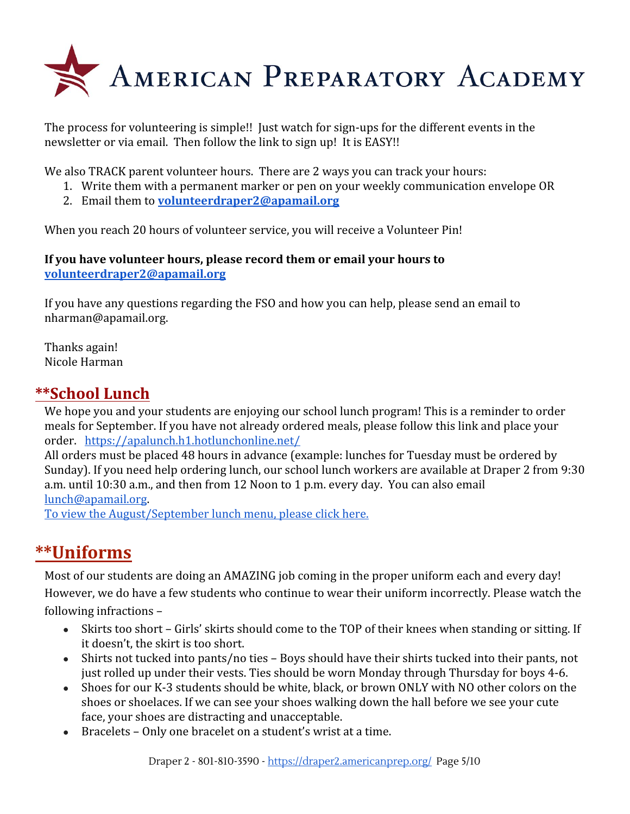

The process for volunteering is simple!! Just watch for sign-ups for the different events in the newsletter or via email. Then follow the link to sign up! It is EASY!!

We also TRACK parent volunteer hours. There are 2 ways you can track your hours:

- 1. Write them with a permanent marker or pen on your weekly communication envelope OR
- 2. Email them to **[volunteerdraper2@apamail.org](mailto:volunteerdraper2@apamail.org)**

When you reach 20 hours of volunteer service, you will receive a Volunteer Pin!

#### **If you have volunteer hours, please record them or email your hours to [volunteerdraper2@apamail.org](mailto:volunteerdraper2@apamail.org)**

If you have any questions regarding the FSO and how you can help, please send an email to nharman@apamail.org.

Thanks again! Nicole Harman

### **\*\*School Lunch**

We hope you and your students are enjoying our school lunch program! This is a reminder to order meals for September. If you have not already ordered meals, please follow this link and place your order. <https://apalunch.h1.hotlunchonline.net/>

All orders must be placed 48 hours in advance (example: lunches for Tuesday must be ordered by Sunday). If you need help ordering lunch, our school lunch workers are available at Draper 2 from 9:30 a.m. until 10:30 a.m., and then from 12 Noon to 1 p.m. every day. You can also email [lunch@apamail.org](mailto:lunch@apamail.org).

[To view the August/September lunch menu, please click here.](https://draper3.americanprep.org/wp-content/uploads/sites/276/2018/08/Menu-Aug-Sept-2018.pdf)

# **\*\*Uniforms**

Most of our students are doing an AMAZING job coming in the proper uniform each and every day! However, we do have a few students who continue to wear their uniform incorrectly. Please watch the following infractions –

- Skirts too short Girls' skirts should come to the TOP of their knees when standing or sitting. If it doesn't, the skirt is too short.
- Shirts not tucked into pants/no ties Boys should have their shirts tucked into their pants, not just rolled up under their vests. Ties should be worn Monday through Thursday for boys 4-6.
- Shoes for our K-3 students should be white, black, or brown ONLY with NO other colors on the shoes or shoelaces. If we can see your shoes walking down the hall before we see your cute face, your shoes are distracting and unacceptable.
- Bracelets Only one bracelet on a student's wrist at a time.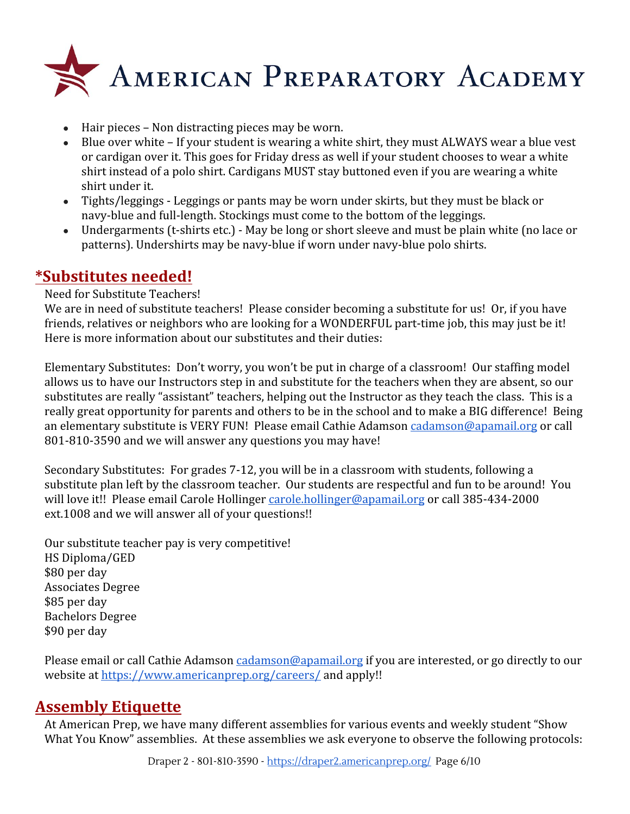

- Hair pieces Non distracting pieces may be worn.
- Blue over white If your student is wearing a white shirt, they must ALWAYS wear a blue vest or cardigan over it. This goes for Friday dress as well if your student chooses to wear a white shirt instead of a polo shirt. Cardigans MUST stay buttoned even if you are wearing a white shirt under it.
- Tights/leggings Leggings or pants may be worn under skirts, but they must be black or navy-blue and full-length. Stockings must come to the bottom of the leggings.
- Undergarments (t-shirts etc.) May be long or short sleeve and must be plain white (no lace or patterns). Undershirts may be navy-blue if worn under navy-blue polo shirts.

### **\*Substitutes needed!**

#### Need for Substitute Teachers!

We are in need of substitute teachers! Please consider becoming a substitute for us! Or, if you have friends, relatives or neighbors who are looking for a WONDERFUL part-time job, this may just be it! Here is more information about our substitutes and their duties:

Elementary Substitutes: Don't worry, you won't be put in charge of a classroom! Our staffing model allows us to have our Instructors step in and substitute for the teachers when they are absent, so our substitutes are really "assistant" teachers, helping out the Instructor as they teach the class. This is a really great opportunity for parents and others to be in the school and to make a BIG difference! Being an elementary substitute is VERY FUN! Please email Cathie Adamson [cadamson@apamail.org](mailto:cadamson@apamail.org) or call 801-810-3590 and we will answer any questions you may have!

Secondary Substitutes: For grades 7-12, you will be in a classroom with students, following a substitute plan left by the classroom teacher. Our students are respectful and fun to be around! You will love it!! Please email Carole Hollinger [carole.hollinger@apamail.org](mailto:carole.hollinger@apamail.org) or call 385-434-2000 ext.1008 and we will answer all of your questions!!

Our substitute teacher pay is very competitive! HS Diploma/GED \$80 per day Associates Degree \$85 per day Bachelors Degree \$90 per day

Please email or call Cathie Adamson [cadamson@apamail.org](mailto:cadamson@apamail.org) if you are interested, or go directly to our website at<https://www.americanprep.org/careers/>and apply!!

# **Assembly Etiquette**

At American Prep, we have many different assemblies for various events and weekly student "Show What You Know" assemblies. At these assemblies we ask everyone to observe the following protocols: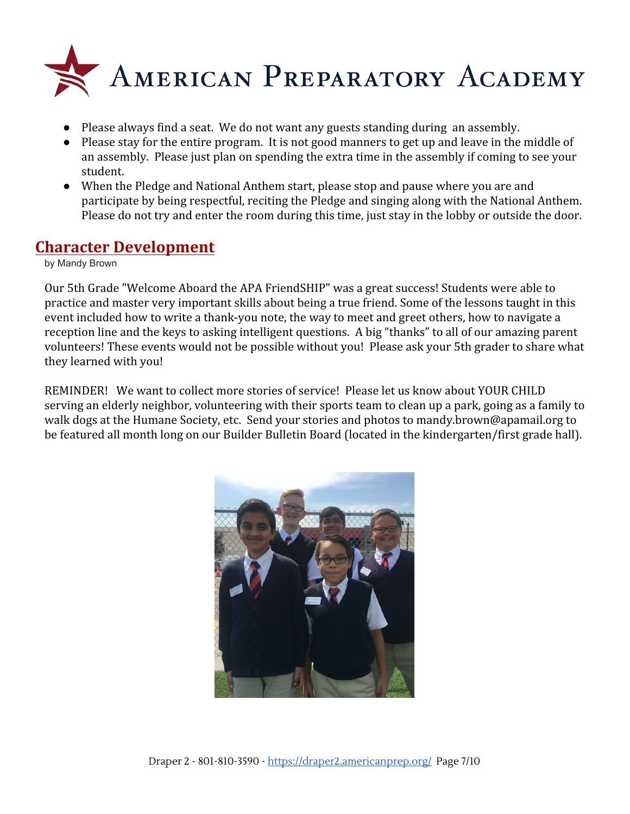

- Please always find a seat. We do not want any guests standing during an assembly.
- Please stay for the entire program. It is not good manners to get up and leave in the middle of an assembly. Please just plan on spending the extra time in the assembly if coming to see your student.
- When the Pledge and National Anthem start, please stop and pause where you are and participate by being respectful, reciting the Pledge and singing along with the National Anthem. Please do not try and enter the room during this time, just stay in the lobby or outside the door.

### **Character Development**

by Mandy Brown

Our 5th Grade "Welcome Aboard the APA FriendSHIP" was a great success! Students were able to practice and master very important skills about being a true friend. Some of the lessons taught in this event included how to write a thank-you note, the way to meet and greet others, how to navigate a reception line and the keys to asking intelligent questions. A big "thanks" to all of our amazing parent volunteers! These events would not be possible without you! Please ask your 5th grader to share what they learned with you!

REMINDER! We want to collect more stories of service! Please let us know about YOUR CHILD serving an elderly neighbor, volunteering with their sports team to clean up a park, going as a family to walk dogs at the Humane Society, etc. Send your stories and photos to mandy.brown@apamail.org to be featured all month long on our Builder Bulletin Board (located in the kindergarten/first grade hall).

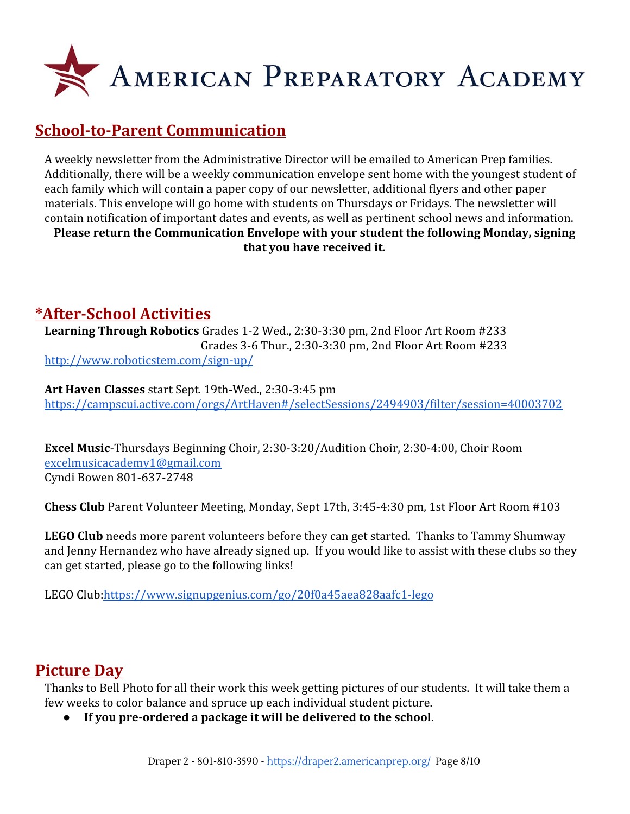

# **School-to-Parent Communication**

A weekly newsletter from the Administrative Director will be emailed to American Prep families. Additionally, there will be a weekly communication envelope sent home with the youngest student of each family which will contain a paper copy of our newsletter, additional flyers and other paper materials. This envelope will go home with students on Thursdays or Fridays. The newsletter will contain notification of important dates and events, as well as pertinent school news and information. **Please return the Communication Envelope with your student the following Monday, signing**

**that you have received it.**

# **\*After-School Activities**

**Learning Through Robotics** Grades 1-2 Wed., 2:30-3:30 pm, 2nd Floor Art Room #233 Grades 3-6 Thur., 2:30-3:30 pm, 2nd Floor Art Room #233 <http://www.roboticstem.com/sign-up/>

**Art Haven Classes** start Sept. 19th-Wed., 2:30-3:45 pm <https://campscui.active.com/orgs/ArtHaven#/selectSessions/2494903/filter/session=40003702>

**Excel Music**-Thursdays Beginning Choir, 2:30-3:20/Audition Choir, 2:30-4:00, Choir Room [excelmusicacademy1@gmail.com](mailto:excelmusicacademy1@gmail.com) Cyndi Bowen 801-637-2748

**Chess Club** Parent Volunteer Meeting, Monday, Sept 17th, 3:45-4:30 pm, 1st Floor Art Room #103

**LEGO Club** needs more parent volunteers before they can get started. Thanks to Tammy Shumway and Jenny Hernandez who have already signed up. If you would like to assist with these clubs so they can get started, please go to the following links!

LEGO Club[:https://www.signupgenius.com/go/20f0a45aea828aafc1-lego](https://www.signupgenius.com/go/20f0a45aea828aafc1-lego)

# **Picture Day**

Thanks to Bell Photo for all their work this week getting pictures of our students. It will take them a few weeks to color balance and spruce up each individual student picture.

● **If you pre-ordered a package it will be delivered to the school**.